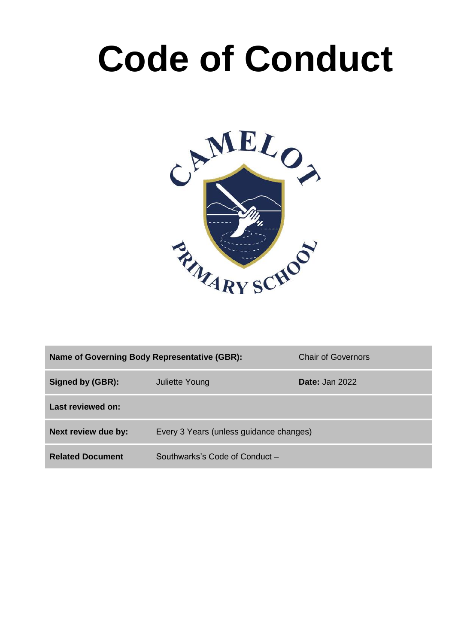# **Code of Conduct**



| Name of Governing Body Representative (GBR): | <b>Chair of Governors</b>               |                       |
|----------------------------------------------|-----------------------------------------|-----------------------|
| Signed by (GBR):                             | <b>Juliette Young</b>                   | <b>Date: Jan 2022</b> |
| Last reviewed on:                            |                                         |                       |
| Next review due by:                          | Every 3 Years (unless guidance changes) |                       |
| <b>Related Document</b>                      | Southwarks's Code of Conduct -          |                       |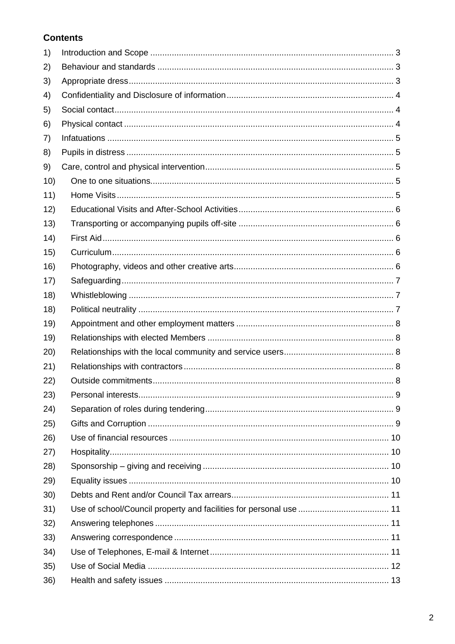## **Contents**

| 1)   |  |
|------|--|
| 2)   |  |
| 3)   |  |
| 4)   |  |
| 5)   |  |
| 6)   |  |
| 7)   |  |
| 8)   |  |
| 9)   |  |
| 10)  |  |
| 11)  |  |
| 12)  |  |
| 13)  |  |
| (14) |  |
| 15)  |  |
| 16)  |  |
| 17)  |  |
| 18)  |  |
| 18)  |  |
| 19)  |  |
| 19)  |  |
| (20) |  |
| 21)  |  |
| 22)  |  |
| 23)  |  |
| (24) |  |
| 25)  |  |
| 26)  |  |
| (27) |  |
| 28)  |  |
| 29)  |  |
| 30)  |  |
| 31)  |  |
| 32)  |  |
| 33)  |  |
| 34)  |  |
| 35)  |  |
| 36)  |  |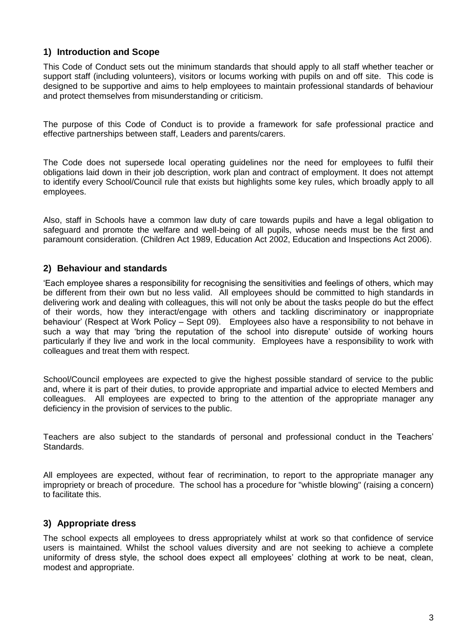# **1) Introduction and Scope**

This Code of Conduct sets out the minimum standards that should apply to all staff whether teacher or support staff (including volunteers), visitors or locums working with pupils on and off site. This code is designed to be supportive and aims to help employees to maintain professional standards of behaviour and protect themselves from misunderstanding or criticism.

The purpose of this Code of Conduct is to provide a framework for safe professional practice and effective partnerships between staff, Leaders and parents/carers.

The Code does not supersede local operating guidelines nor the need for employees to fulfil their obligations laid down in their job description, work plan and contract of employment. It does not attempt to identify every School/Council rule that exists but highlights some key rules, which broadly apply to all employees.

Also, staff in Schools have a common law duty of care towards pupils and have a legal obligation to safeguard and promote the welfare and well-being of all pupils, whose needs must be the first and paramount consideration. (Children Act 1989, Education Act 2002, Education and Inspections Act 2006).

## **2) Behaviour and standards**

'Each employee shares a responsibility for recognising the sensitivities and feelings of others, which may be different from their own but no less valid. All employees should be committed to high standards in delivering work and dealing with colleagues, this will not only be about the tasks people do but the effect of their words, how they interact/engage with others and tackling discriminatory or inappropriate behaviour' (Respect at Work Policy – Sept 09). Employees also have a responsibility to not behave in such a way that may 'bring the reputation of the school into disrepute' outside of working hours particularly if they live and work in the local community. Employees have a responsibility to work with colleagues and treat them with respect.

School/Council employees are expected to give the highest possible standard of service to the public and, where it is part of their duties, to provide appropriate and impartial advice to elected Members and colleagues. All employees are expected to bring to the attention of the appropriate manager any deficiency in the provision of services to the public.

Teachers are also subject to the standards of personal and professional conduct in the Teachers' Standards.

All employees are expected, without fear of recrimination, to report to the appropriate manager any impropriety or breach of procedure. The school has a procedure for "whistle blowing" (raising a concern) to facilitate this.

# **3) Appropriate dress**

The school expects all employees to dress appropriately whilst at work so that confidence of service users is maintained. Whilst the school values diversity and are not seeking to achieve a complete uniformity of dress style, the school does expect all employees' clothing at work to be neat, clean, modest and appropriate.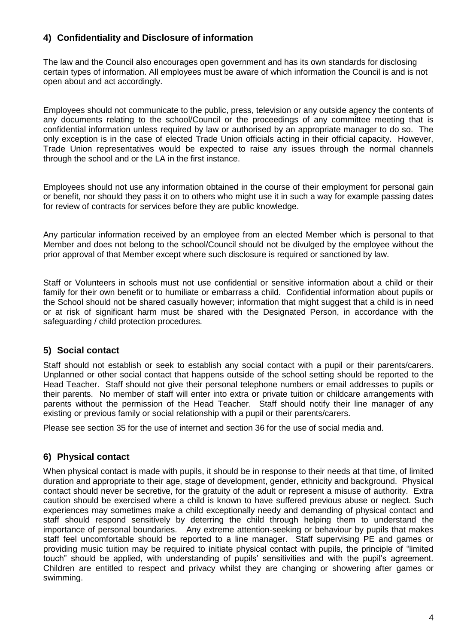# **4) Confidentiality and Disclosure of information**

The law and the Council also encourages open government and has its own standards for disclosing certain types of information. All employees must be aware of which information the Council is and is not open about and act accordingly.

Employees should not communicate to the public, press, television or any outside agency the contents of any documents relating to the school/Council or the proceedings of any committee meeting that is confidential information unless required by law or authorised by an appropriate manager to do so. The only exception is in the case of elected Trade Union officials acting in their official capacity. However, Trade Union representatives would be expected to raise any issues through the normal channels through the school and or the LA in the first instance.

Employees should not use any information obtained in the course of their employment for personal gain or benefit, nor should they pass it on to others who might use it in such a way for example passing dates for review of contracts for services before they are public knowledge.

Any particular information received by an employee from an elected Member which is personal to that Member and does not belong to the school/Council should not be divulged by the employee without the prior approval of that Member except where such disclosure is required or sanctioned by law.

Staff or Volunteers in schools must not use confidential or sensitive information about a child or their family for their own benefit or to humiliate or embarrass a child. Confidential information about pupils or the School should not be shared casually however; information that might suggest that a child is in need or at risk of significant harm must be shared with the Designated Person, in accordance with the safeguarding / child protection procedures.

# **5) Social contact**

Staff should not establish or seek to establish any social contact with a pupil or their parents/carers. Unplanned or other social contact that happens outside of the school setting should be reported to the Head Teacher. Staff should not give their personal telephone numbers or email addresses to pupils or their parents. No member of staff will enter into extra or private tuition or childcare arrangements with parents without the permission of the Head Teacher. Staff should notify their line manager of any existing or previous family or social relationship with a pupil or their parents/carers.

Please see section 35 for the use of internet and section 36 for the use of social media and.

# **6) Physical contact**

When physical contact is made with pupils, it should be in response to their needs at that time, of limited duration and appropriate to their age, stage of development, gender, ethnicity and background. Physical contact should never be secretive, for the gratuity of the adult or represent a misuse of authority. Extra caution should be exercised where a child is known to have suffered previous abuse or neglect. Such experiences may sometimes make a child exceptionally needy and demanding of physical contact and staff should respond sensitively by deterring the child through helping them to understand the importance of personal boundaries. Any extreme attention-seeking or behaviour by pupils that makes staff feel uncomfortable should be reported to a line manager. Staff supervising PE and games or providing music tuition may be required to initiate physical contact with pupils, the principle of "limited touch" should be applied, with understanding of pupils' sensitivities and with the pupil's agreement. Children are entitled to respect and privacy whilst they are changing or showering after games or swimming.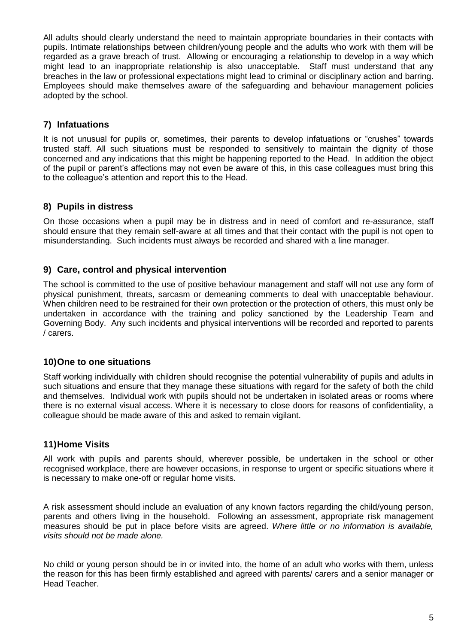All adults should clearly understand the need to maintain appropriate boundaries in their contacts with pupils. Intimate relationships between children/young people and the adults who work with them will be regarded as a grave breach of trust. Allowing or encouraging a relationship to develop in a way which might lead to an inappropriate relationship is also unacceptable. Staff must understand that any breaches in the law or professional expectations might lead to criminal or disciplinary action and barring. Employees should make themselves aware of the safeguarding and behaviour management policies adopted by the school.

# **7) Infatuations**

It is not unusual for pupils or, sometimes, their parents to develop infatuations or "crushes" towards trusted staff. All such situations must be responded to sensitively to maintain the dignity of those concerned and any indications that this might be happening reported to the Head. In addition the object of the pupil or parent's affections may not even be aware of this, in this case colleagues must bring this to the colleague's attention and report this to the Head.

# **8) Pupils in distress**

On those occasions when a pupil may be in distress and in need of comfort and re-assurance, staff should ensure that they remain self-aware at all times and that their contact with the pupil is not open to misunderstanding. Such incidents must always be recorded and shared with a line manager.

## **9) Care, control and physical intervention**

The school is committed to the use of positive behaviour management and staff will not use any form of physical punishment, threats, sarcasm or demeaning comments to deal with unacceptable behaviour. When children need to be restrained for their own protection or the protection of others, this must only be undertaken in accordance with the training and policy sanctioned by the Leadership Team and Governing Body. Any such incidents and physical interventions will be recorded and reported to parents / carers.

#### **10)One to one situations**

Staff working individually with children should recognise the potential vulnerability of pupils and adults in such situations and ensure that they manage these situations with regard for the safety of both the child and themselves. Individual work with pupils should not be undertaken in isolated areas or rooms where there is no external visual access. Where it is necessary to close doors for reasons of confidentiality, a colleague should be made aware of this and asked to remain vigilant.

# **11)Home Visits**

All work with pupils and parents should, wherever possible, be undertaken in the school or other recognised workplace, there are however occasions, in response to urgent or specific situations where it is necessary to make one-off or regular home visits.

A risk assessment should include an evaluation of any known factors regarding the child/young person, parents and others living in the household. Following an assessment, appropriate risk management measures should be put in place before visits are agreed. *Where little or no information is available, visits should not be made alone.* 

No child or young person should be in or invited into, the home of an adult who works with them, unless the reason for this has been firmly established and agreed with parents/ carers and a senior manager or Head Teacher.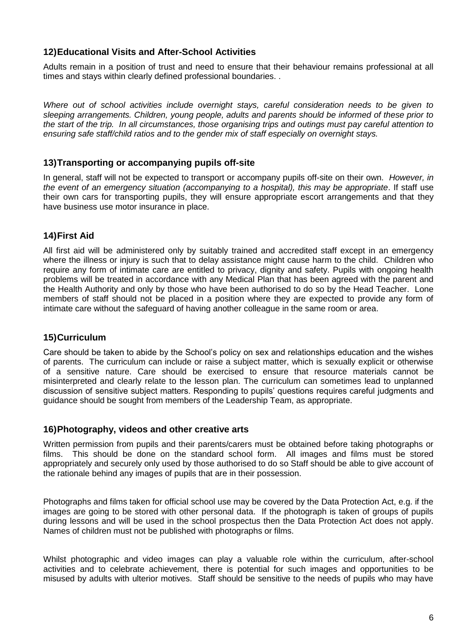## **12)Educational Visits and After-School Activities**

Adults remain in a position of trust and need to ensure that their behaviour remains professional at all times and stays within clearly defined professional boundaries. .

*Where out of school activities include overnight stays, careful consideration needs to be given to sleeping arrangements. Children, young people, adults and parents should be informed of these prior to the start of the trip. In all circumstances, those organising trips and outings must pay careful attention to ensuring safe staff/child ratios and to the gender mix of staff especially on overnight stays.* 

#### **13)Transporting or accompanying pupils off-site**

In general, staff will not be expected to transport or accompany pupils off-site on their own. *However, in the event of an emergency situation (accompanying to a hospital), this may be appropriate*. If staff use their own cars for transporting pupils, they will ensure appropriate escort arrangements and that they have business use motor insurance in place.

## **14)First Aid**

All first aid will be administered only by suitably trained and accredited staff except in an emergency where the illness or injury is such that to delay assistance might cause harm to the child. Children who require any form of intimate care are entitled to privacy, dignity and safety. Pupils with ongoing health problems will be treated in accordance with any Medical Plan that has been agreed with the parent and the Health Authority and only by those who have been authorised to do so by the Head Teacher. Lone members of staff should not be placed in a position where they are expected to provide any form of intimate care without the safeguard of having another colleague in the same room or area.

#### **15)Curriculum**

Care should be taken to abide by the School's policy on sex and relationships education and the wishes of parents. The curriculum can include or raise a subject matter, which is sexually explicit or otherwise of a sensitive nature. Care should be exercised to ensure that resource materials cannot be misinterpreted and clearly relate to the lesson plan. The curriculum can sometimes lead to unplanned discussion of sensitive subject matters. Responding to pupils' questions requires careful judgments and guidance should be sought from members of the Leadership Team, as appropriate.

#### **16)Photography, videos and other creative arts**

Written permission from pupils and their parents/carers must be obtained before taking photographs or films. This should be done on the standard school form. All images and films must be stored appropriately and securely only used by those authorised to do so Staff should be able to give account of the rationale behind any images of pupils that are in their possession.

Photographs and films taken for official school use may be covered by the Data Protection Act, e.g. if the images are going to be stored with other personal data. If the photograph is taken of groups of pupils during lessons and will be used in the school prospectus then the Data Protection Act does not apply. Names of children must not be published with photographs or films.

Whilst photographic and video images can play a valuable role within the curriculum, after-school activities and to celebrate achievement, there is potential for such images and opportunities to be misused by adults with ulterior motives. Staff should be sensitive to the needs of pupils who may have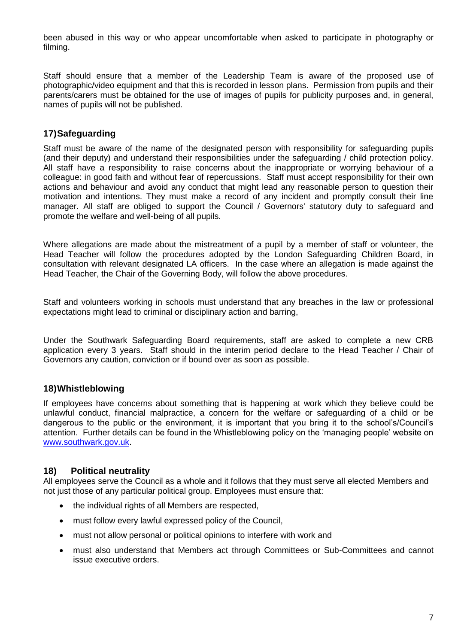been abused in this way or who appear uncomfortable when asked to participate in photography or filming.

Staff should ensure that a member of the Leadership Team is aware of the proposed use of photographic/video equipment and that this is recorded in lesson plans. Permission from pupils and their parents/carers must be obtained for the use of images of pupils for publicity purposes and, in general, names of pupils will not be published.

## **17)Safeguarding**

Staff must be aware of the name of the designated person with responsibility for safeguarding pupils (and their deputy) and understand their responsibilities under the safeguarding / child protection policy. All staff have a responsibility to raise concerns about the inappropriate or worrying behaviour of a colleague: in good faith and without fear of repercussions. Staff must accept responsibility for their own actions and behaviour and avoid any conduct that might lead any reasonable person to question their motivation and intentions. They must make a record of any incident and promptly consult their line manager. All staff are obliged to support the Council / Governors' statutory duty to safeguard and promote the welfare and well-being of all pupils.

Where allegations are made about the mistreatment of a pupil by a member of staff or volunteer, the Head Teacher will follow the procedures adopted by the London Safeguarding Children Board, in consultation with relevant designated LA officers. In the case where an allegation is made against the Head Teacher, the Chair of the Governing Body, will follow the above procedures.

Staff and volunteers working in schools must understand that any breaches in the law or professional expectations might lead to criminal or disciplinary action and barring,

Under the Southwark Safeguarding Board requirements, staff are asked to complete a new CRB application every 3 years. Staff should in the interim period declare to the Head Teacher / Chair of Governors any caution, conviction or if bound over as soon as possible.

#### **18)Whistleblowing**

If employees have concerns about something that is happening at work which they believe could be unlawful conduct, financial malpractice, a concern for the welfare or safeguarding of a child or be dangerous to the public or the environment, it is important that you bring it to the school's/Council's attention. Further details can be found in the Whistleblowing policy on the 'managing people' website on [www.southwark.gov.uk.](http://www.southwark.gov.uk/)

#### **18) Political neutrality**

All employees serve the Council as a whole and it follows that they must serve all elected Members and not just those of any particular political group. Employees must ensure that:

- the individual rights of all Members are respected,
- must follow every lawful expressed policy of the Council,
- must not allow personal or political opinions to interfere with work and
- must also understand that Members act through Committees or Sub-Committees and cannot issue executive orders.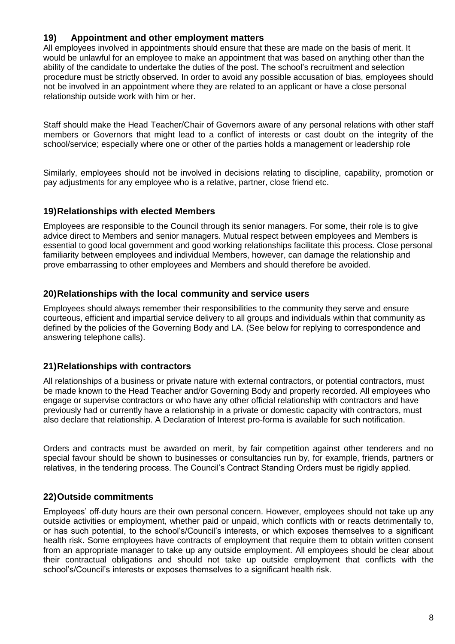### **19) Appointment and other employment matters**

All employees involved in appointments should ensure that these are made on the basis of merit. It would be unlawful for an employee to make an appointment that was based on anything other than the ability of the candidate to undertake the duties of the post. The school's recruitment and selection procedure must be strictly observed. In order to avoid any possible accusation of bias, employees should not be involved in an appointment where they are related to an applicant or have a close personal relationship outside work with him or her.

Staff should make the Head Teacher/Chair of Governors aware of any personal relations with other staff members or Governors that might lead to a conflict of interests or cast doubt on the integrity of the school/service; especially where one or other of the parties holds a management or leadership role

Similarly, employees should not be involved in decisions relating to discipline, capability, promotion or pay adjustments for any employee who is a relative, partner, close friend etc.

## **19)Relationships with elected Members**

Employees are responsible to the Council through its senior managers. For some, their role is to give advice direct to Members and senior managers. Mutual respect between employees and Members is essential to good local government and good working relationships facilitate this process. Close personal familiarity between employees and individual Members, however, can damage the relationship and prove embarrassing to other employees and Members and should therefore be avoided.

#### **20)Relationships with the local community and service users**

Employees should always remember their responsibilities to the community they serve and ensure courteous, efficient and impartial service delivery to all groups and individuals within that community as defined by the policies of the Governing Body and LA. (See below for replying to correspondence and answering telephone calls).

#### **21)Relationships with contractors**

All relationships of a business or private nature with external contractors, or potential contractors, must be made known to the Head Teacher and/or Governing Body and properly recorded. All employees who engage or supervise contractors or who have any other official relationship with contractors and have previously had or currently have a relationship in a private or domestic capacity with contractors, must also declare that relationship. A Declaration of Interest pro-forma is available for such notification.

Orders and contracts must be awarded on merit, by fair competition against other tenderers and no special favour should be shown to businesses or consultancies run by, for example, friends, partners or relatives, in the tendering process. The Council's Contract Standing Orders must be rigidly applied.

#### **22)Outside commitments**

Employees' off-duty hours are their own personal concern. However, employees should not take up any outside activities or employment, whether paid or unpaid, which conflicts with or reacts detrimentally to, or has such potential, to the school's/Council's interests, or which exposes themselves to a significant health risk. Some employees have contracts of employment that require them to obtain written consent from an appropriate manager to take up any outside employment. All employees should be clear about their contractual obligations and should not take up outside employment that conflicts with the school's/Council's interests or exposes themselves to a significant health risk.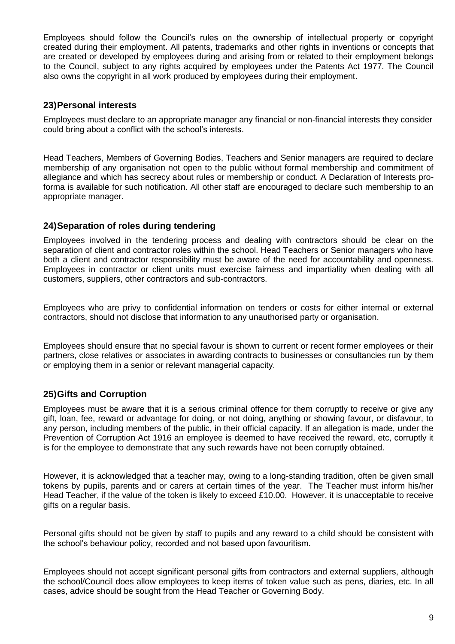Employees should follow the Council's rules on the ownership of intellectual property or copyright created during their employment. All patents, trademarks and other rights in inventions or concepts that are created or developed by employees during and arising from or related to their employment belongs to the Council, subject to any rights acquired by employees under the Patents Act 1977. The Council also owns the copyright in all work produced by employees during their employment.

#### **23)Personal interests**

Employees must declare to an appropriate manager any financial or non-financial interests they consider could bring about a conflict with the school's interests.

Head Teachers, Members of Governing Bodies, Teachers and Senior managers are required to declare membership of any organisation not open to the public without formal membership and commitment of allegiance and which has secrecy about rules or membership or conduct. A Declaration of Interests proforma is available for such notification. All other staff are encouraged to declare such membership to an appropriate manager.

#### **24)Separation of roles during tendering**

Employees involved in the tendering process and dealing with contractors should be clear on the separation of client and contractor roles within the school. Head Teachers or Senior managers who have both a client and contractor responsibility must be aware of the need for accountability and openness. Employees in contractor or client units must exercise fairness and impartiality when dealing with all customers, suppliers, other contractors and sub-contractors.

Employees who are privy to confidential information on tenders or costs for either internal or external contractors, should not disclose that information to any unauthorised party or organisation.

Employees should ensure that no special favour is shown to current or recent former employees or their partners, close relatives or associates in awarding contracts to businesses or consultancies run by them or employing them in a senior or relevant managerial capacity.

#### **25)Gifts and Corruption**

Employees must be aware that it is a serious criminal offence for them corruptly to receive or give any gift, loan, fee, reward or advantage for doing, or not doing, anything or showing favour, or disfavour, to any person, including members of the public, in their official capacity. If an allegation is made, under the Prevention of Corruption Act 1916 an employee is deemed to have received the reward, etc, corruptly it is for the employee to demonstrate that any such rewards have not been corruptly obtained.

However, it is acknowledged that a teacher may, owing to a long-standing tradition, often be given small tokens by pupils, parents and or carers at certain times of the year. The Teacher must inform his/her Head Teacher, if the value of the token is likely to exceed £10.00. However, it is unacceptable to receive gifts on a regular basis.

Personal gifts should not be given by staff to pupils and any reward to a child should be consistent with the school's behaviour policy, recorded and not based upon favouritism.

Employees should not accept significant personal gifts from contractors and external suppliers, although the school/Council does allow employees to keep items of token value such as pens, diaries, etc. In all cases, advice should be sought from the Head Teacher or Governing Body.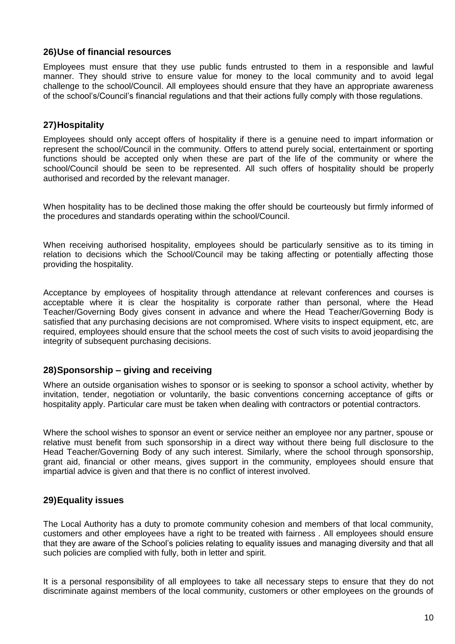## **26)Use of financial resources**

Employees must ensure that they use public funds entrusted to them in a responsible and lawful manner. They should strive to ensure value for money to the local community and to avoid legal challenge to the school/Council. All employees should ensure that they have an appropriate awareness of the school's/Council's financial regulations and that their actions fully comply with those regulations.

## **27)Hospitality**

Employees should only accept offers of hospitality if there is a genuine need to impart information or represent the school/Council in the community. Offers to attend purely social, entertainment or sporting functions should be accepted only when these are part of the life of the community or where the school/Council should be seen to be represented. All such offers of hospitality should be properly authorised and recorded by the relevant manager.

When hospitality has to be declined those making the offer should be courteously but firmly informed of the procedures and standards operating within the school/Council.

When receiving authorised hospitality, employees should be particularly sensitive as to its timing in relation to decisions which the School/Council may be taking affecting or potentially affecting those providing the hospitality.

Acceptance by employees of hospitality through attendance at relevant conferences and courses is acceptable where it is clear the hospitality is corporate rather than personal, where the Head Teacher/Governing Body gives consent in advance and where the Head Teacher/Governing Body is satisfied that any purchasing decisions are not compromised. Where visits to inspect equipment, etc, are required, employees should ensure that the school meets the cost of such visits to avoid jeopardising the integrity of subsequent purchasing decisions.

#### **28)Sponsorship – giving and receiving**

Where an outside organisation wishes to sponsor or is seeking to sponsor a school activity, whether by invitation, tender, negotiation or voluntarily, the basic conventions concerning acceptance of gifts or hospitality apply. Particular care must be taken when dealing with contractors or potential contractors.

Where the school wishes to sponsor an event or service neither an employee nor any partner, spouse or relative must benefit from such sponsorship in a direct way without there being full disclosure to the Head Teacher/Governing Body of any such interest. Similarly, where the school through sponsorship, grant aid, financial or other means, gives support in the community, employees should ensure that impartial advice is given and that there is no conflict of interest involved.

# **29)Equality issues**

The Local Authority has a duty to promote community cohesion and members of that local community, customers and other employees have a right to be treated with fairness . All employees should ensure that they are aware of the School's policies relating to equality issues and managing diversity and that all such policies are complied with fully, both in letter and spirit.

It is a personal responsibility of all employees to take all necessary steps to ensure that they do not discriminate against members of the local community, customers or other employees on the grounds of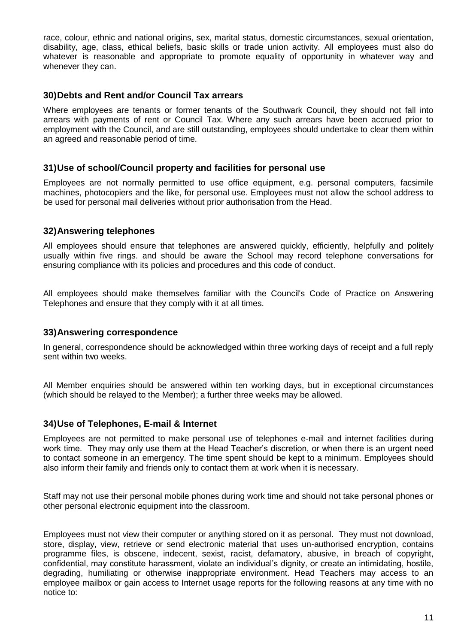race, colour, ethnic and national origins, sex, marital status, domestic circumstances, sexual orientation, disability, age, class, ethical beliefs, basic skills or trade union activity. All employees must also do whatever is reasonable and appropriate to promote equality of opportunity in whatever way and whenever they can.

#### **30)Debts and Rent and/or Council Tax arrears**

Where employees are tenants or former tenants of the Southwark Council, they should not fall into arrears with payments of rent or Council Tax. Where any such arrears have been accrued prior to employment with the Council, and are still outstanding, employees should undertake to clear them within an agreed and reasonable period of time.

#### **31)Use of school/Council property and facilities for personal use**

Employees are not normally permitted to use office equipment, e.g. personal computers, facsimile machines, photocopiers and the like, for personal use. Employees must not allow the school address to be used for personal mail deliveries without prior authorisation from the Head.

#### **32)Answering telephones**

All employees should ensure that telephones are answered quickly, efficiently, helpfully and politely usually within five rings. and should be aware the School may record telephone conversations for ensuring compliance with its policies and procedures and this code of conduct.

All employees should make themselves familiar with the Council's Code of Practice on Answering Telephones and ensure that they comply with it at all times.

#### **33)Answering correspondence**

In general, correspondence should be acknowledged within three working days of receipt and a full reply sent within two weeks.

All Member enquiries should be answered within ten working days, but in exceptional circumstances (which should be relayed to the Member); a further three weeks may be allowed.

#### **34)Use of Telephones, E-mail & Internet**

Employees are not permitted to make personal use of telephones e-mail and internet facilities during work time. They may only use them at the Head Teacher's discretion, or when there is an urgent need to contact someone in an emergency. The time spent should be kept to a minimum. Employees should also inform their family and friends only to contact them at work when it is necessary.

Staff may not use their personal mobile phones during work time and should not take personal phones or other personal electronic equipment into the classroom.

Employees must not view their computer or anything stored on it as personal. They must not download, store, display, view, retrieve or send electronic material that uses un-authorised encryption, contains programme files, is obscene, indecent, sexist, racist, defamatory, abusive, in breach of copyright, confidential, may constitute harassment, violate an individual's dignity, or create an intimidating, hostile, degrading, humiliating or otherwise inappropriate environment. Head Teachers may access to an employee mailbox or gain access to Internet usage reports for the following reasons at any time with no notice to: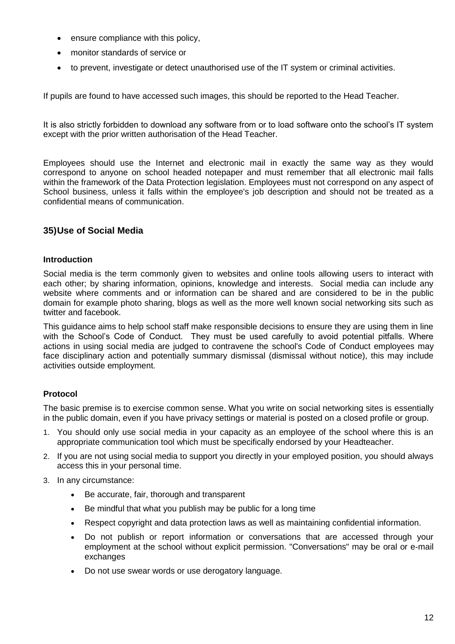- ensure compliance with this policy,
- monitor standards of service or
- to prevent, investigate or detect unauthorised use of the IT system or criminal activities.

If pupils are found to have accessed such images, this should be reported to the Head Teacher.

It is also strictly forbidden to download any software from or to load software onto the school's IT system except with the prior written authorisation of the Head Teacher.

Employees should use the Internet and electronic mail in exactly the same way as they would correspond to anyone on school headed notepaper and must remember that all electronic mail falls within the framework of the Data Protection legislation. Employees must not correspond on any aspect of School business, unless it falls within the employee's job description and should not be treated as a confidential means of communication.

## **35)Use of Social Media**

#### **Introduction**

Social media is the term commonly given to websites and online tools allowing users to interact with each other; by sharing information, opinions, knowledge and interests. Social media can include any website where comments and or information can be shared and are considered to be in the public domain for example photo sharing, blogs as well as the more well known social networking sits such as twitter and facebook.

This guidance aims to help school staff make responsible decisions to ensure they are using them in line with the School's Code of Conduct. They must be used carefully to avoid potential pitfalls. Where actions in using social media are judged to contravene the [school's Code of Conduct e](http://thesource/SectionLandingPage.asp?id=2040)mployees may face disciplinary action and potentially summary dismissal (dismissal without notice), this may include activities outside employment.

#### **Protocol**

The basic premise is to exercise common sense. What you write on social networking sites is essentially in the public domain, even if you have privacy settings or material is posted on a closed profile or group.

- 1. You should only use social media in your capacity as an employee of the school where this is an appropriate communication tool which must be specifically endorsed by your Headteacher.
- 2. If you are not using social media to support you directly in your employed position, you should always access this in your personal time.
- 3. In any circumstance:
	- Be accurate, fair, thorough and transparent
	- Be mindful that what you publish may be public for a long time
	- Respect copyright and data protection laws as well as maintaining confidential information.
	- Do not publish or report information or conversations that are accessed through your employment at the school without explicit permission. "Conversations" may be oral or e-mail exchanges
	- Do not use swear words or use derogatory language.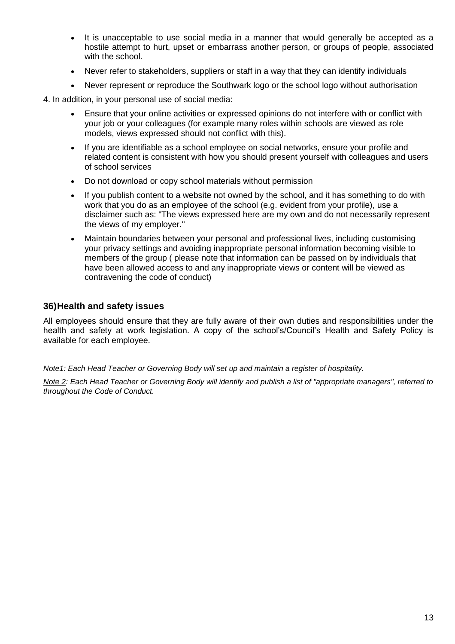- It is unacceptable to use social media in a manner that would generally be accepted as a hostile attempt to hurt, upset or embarrass another person, or groups of people, associated with the school.
- Never refer to stakeholders, suppliers or staff in a way that they can identify individuals
- Never represent or reproduce the Southwark logo or the school logo without authorisation

4. In addition, in your personal use of social media:

- Ensure that your online activities or expressed opinions do not interfere with or conflict with your job or your colleagues (for example many roles within schools are viewed as role models, views expressed should not conflict with this).
- If you are identifiable as a school employee on social networks, ensure your profile and related content is consistent with how you should present yourself with colleagues and users of school services
- Do not download or copy school materials without permission
- If you publish content to a website not owned by the school, and it has something to do with work that you do as an employee of the school (e.g. evident from your profile), use a disclaimer such as: "The views expressed here are my own and do not necessarily represent the views of my employer."
- Maintain boundaries between your personal and professional lives, including customising your privacy settings and avoiding inappropriate personal information becoming visible to members of the group ( please note that information can be passed on by individuals that have been allowed access to and any inappropriate views or content will be viewed as contravening the code of conduct)

#### **36)Health and safety issues**

All employees should ensure that they are fully aware of their own duties and responsibilities under the health and safety at work legislation. A copy of the school's/Council's Health and Safety Policy is available for each employee.

*Note1: Each Head Teacher or Governing Body will set up and maintain a register of hospitality.*

*Note 2: Each Head Teacher or Governing Body will identify and publish a list of "appropriate managers", referred to throughout the Code of Conduct.*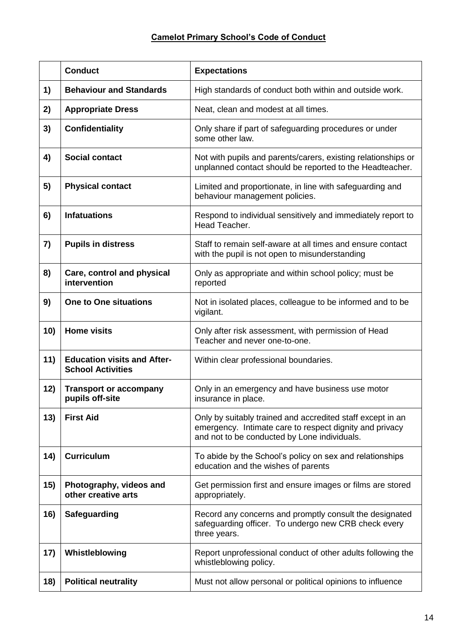|     | <b>Conduct</b>                                                 | <b>Expectations</b>                                                                                                                                                   |
|-----|----------------------------------------------------------------|-----------------------------------------------------------------------------------------------------------------------------------------------------------------------|
| 1)  | <b>Behaviour and Standards</b>                                 | High standards of conduct both within and outside work.                                                                                                               |
| 2)  | <b>Appropriate Dress</b>                                       | Neat, clean and modest at all times.                                                                                                                                  |
| 3)  | <b>Confidentiality</b>                                         | Only share if part of safeguarding procedures or under<br>some other law.                                                                                             |
| 4)  | <b>Social contact</b>                                          | Not with pupils and parents/carers, existing relationships or<br>unplanned contact should be reported to the Headteacher.                                             |
| 5)  | <b>Physical contact</b>                                        | Limited and proportionate, in line with safeguarding and<br>behaviour management policies.                                                                            |
| 6)  | <b>Infatuations</b>                                            | Respond to individual sensitively and immediately report to<br>Head Teacher.                                                                                          |
| 7)  | <b>Pupils in distress</b>                                      | Staff to remain self-aware at all times and ensure contact<br>with the pupil is not open to misunderstanding                                                          |
| 8)  | Care, control and physical<br>intervention                     | Only as appropriate and within school policy; must be<br>reported                                                                                                     |
| 9)  | <b>One to One situations</b>                                   | Not in isolated places, colleague to be informed and to be<br>vigilant.                                                                                               |
| 10) | <b>Home visits</b>                                             | Only after risk assessment, with permission of Head<br>Teacher and never one-to-one.                                                                                  |
| 11) | <b>Education visits and After-</b><br><b>School Activities</b> | Within clear professional boundaries.                                                                                                                                 |
| 12) | <b>Transport or accompany</b><br>pupils off-site               | Only in an emergency and have business use motor<br>insurance in place.                                                                                               |
| 13) | <b>First Aid</b>                                               | Only by suitably trained and accredited staff except in an<br>emergency. Intimate care to respect dignity and privacy<br>and not to be conducted by Lone individuals. |
| 14) | <b>Curriculum</b>                                              | To abide by the School's policy on sex and relationships<br>education and the wishes of parents                                                                       |
| 15) | Photography, videos and<br>other creative arts                 | Get permission first and ensure images or films are stored<br>appropriately.                                                                                          |
| 16) | <b>Safeguarding</b>                                            | Record any concerns and promptly consult the designated<br>safeguarding officer. To undergo new CRB check every<br>three years.                                       |
| 17) | Whistleblowing                                                 | Report unprofessional conduct of other adults following the<br>whistleblowing policy.                                                                                 |
| 18) | <b>Political neutrality</b>                                    | Must not allow personal or political opinions to influence                                                                                                            |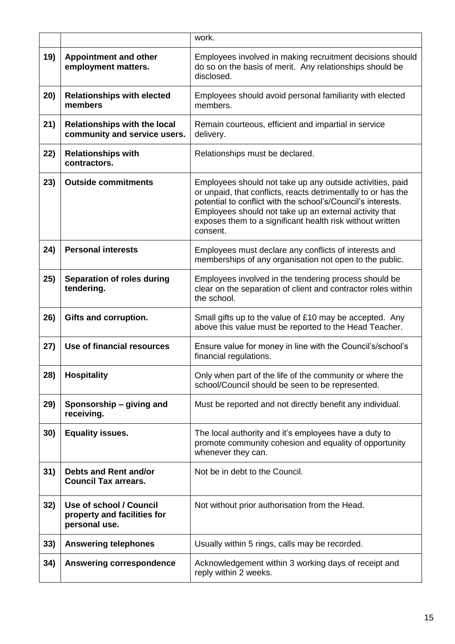|     |                                                                         | work.                                                                                                                                                                                                                                                                                                                         |
|-----|-------------------------------------------------------------------------|-------------------------------------------------------------------------------------------------------------------------------------------------------------------------------------------------------------------------------------------------------------------------------------------------------------------------------|
| 19) | <b>Appointment and other</b><br>employment matters.                     | Employees involved in making recruitment decisions should<br>do so on the basis of merit. Any relationships should be<br>disclosed.                                                                                                                                                                                           |
| 20) | <b>Relationships with elected</b><br>members                            | Employees should avoid personal familiarity with elected<br>members.                                                                                                                                                                                                                                                          |
| 21) | <b>Relationships with the local</b><br>community and service users.     | Remain courteous, efficient and impartial in service<br>delivery.                                                                                                                                                                                                                                                             |
| 22) | <b>Relationships with</b><br>contractors.                               | Relationships must be declared.                                                                                                                                                                                                                                                                                               |
| 23) | <b>Outside commitments</b>                                              | Employees should not take up any outside activities, paid<br>or unpaid, that conflicts, reacts detrimentally to or has the<br>potential to conflict with the school's/Council's interests.<br>Employees should not take up an external activity that<br>exposes them to a significant health risk without written<br>consent. |
| 24) | <b>Personal interests</b>                                               | Employees must declare any conflicts of interests and<br>memberships of any organisation not open to the public.                                                                                                                                                                                                              |
| 25) | Separation of roles during<br>tendering.                                | Employees involved in the tendering process should be<br>clear on the separation of client and contractor roles within<br>the school.                                                                                                                                                                                         |
| 26) | Gifts and corruption.                                                   | Small gifts up to the value of £10 may be accepted. Any<br>above this value must be reported to the Head Teacher.                                                                                                                                                                                                             |
| 27) | Use of financial resources                                              | Ensure value for money in line with the Council's/school's<br>financial regulations.                                                                                                                                                                                                                                          |
| 28) | <b>Hospitality</b>                                                      | Only when part of the life of the community or where the<br>school/Council should be seen to be represented.                                                                                                                                                                                                                  |
| 29) | Sponsorship – giving and<br>receiving.                                  | Must be reported and not directly benefit any individual.                                                                                                                                                                                                                                                                     |
| 30) | <b>Equality issues.</b>                                                 | The local authority and it's employees have a duty to<br>promote community cohesion and equality of opportunity<br>whenever they can.                                                                                                                                                                                         |
| 31) | Debts and Rent and/or<br><b>Council Tax arrears.</b>                    | Not be in debt to the Council.                                                                                                                                                                                                                                                                                                |
| 32) | Use of school / Council<br>property and facilities for<br>personal use. | Not without prior authorisation from the Head.                                                                                                                                                                                                                                                                                |
| 33) | <b>Answering telephones</b>                                             | Usually within 5 rings, calls may be recorded.                                                                                                                                                                                                                                                                                |
| 34) | Answering correspondence                                                | Acknowledgement within 3 working days of receipt and<br>reply within 2 weeks.                                                                                                                                                                                                                                                 |